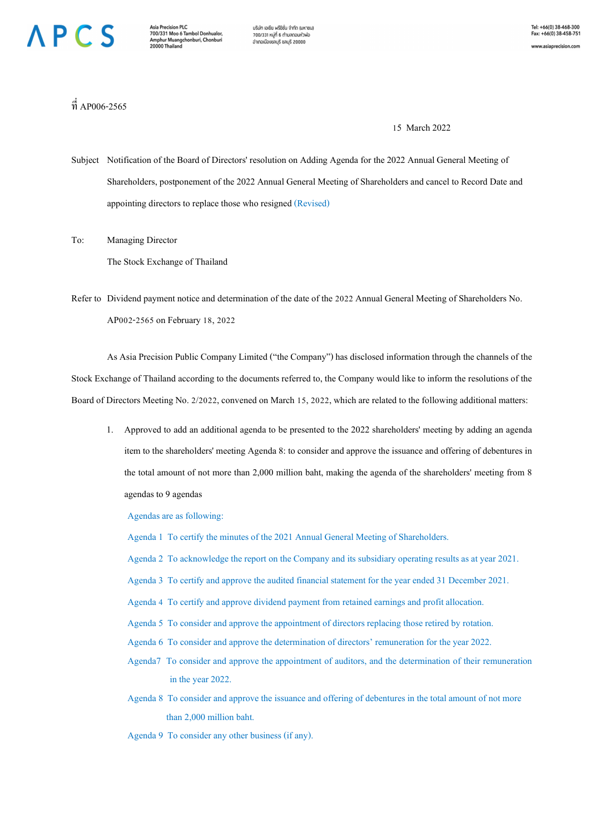## **NPCS**

บริษัท เอเซีย พรีซิชั่น จำกัด (มหาชน) 700/331 หม่ที่ 6 ตำบลดอนหัวพ่อ อำเภอเมืองชลบุรี ชลบุรี 20000

www.asiaprecision.com

 $\vec{\bar{\mathfrak{n}}}$  AP006-2565

15 March 2022

Subject Notification of the Board of Directors' resolution on Adding Agenda for the 2022 Annual General Meeting of Shareholders, postponement of the 2022 Annual General Meeting of Shareholders and cancel to Record Date and appointing directors to replace those who resigned (Revised)

To: Managing Director The Stock Exchange of Thailand

Refer to Dividend payment notice and determination of the date of the 2022 Annual General Meeting of Shareholders No. AP002-2565 on February 18, 2022

As Asia Precision Public Company Limited ("the Company") has disclosed information through the channels of the Stock Exchange of Thailand according to the documents referred to, the Company would like to inform the resolutions of the Board of Directors Meeting No. 2/2022, convened on March 15, 2022, which are related to the following additional matters:

1. Approved to add an additional agenda to be presented to the 2022 shareholders' meeting by adding an agenda item to the shareholders' meeting Agenda 8: to consider and approve the issuance and offering of debentures in the total amount of not more than 2,000 million baht, making the agenda of the shareholders' meeting from 8 agendas to 9 agendas

Agendas are as following:

Agenda 1 To certify the minutes of the 2021 Annual General Meeting of Shareholders.

- Agenda 2 To acknowledge the report on the Company and its subsidiary operating results as at year 2021.
- Agenda 3 To certify and approve the audited financial statement for the year ended 31 December 2021.
- Agenda 4 To certify and approve dividend payment from retained earnings and profit allocation.
- Agenda 5 To consider and approve the appointment of directors replacing those retired by rotation.
- Agenda 6 To consider and approve the determination of directors' remuneration for the year 2022.
- Agenda7 To consider and approve the appointment of auditors, and the determination of their remuneration in the year 2022.
- Agenda 8 To consider and approve the issuance and offering of debentures in the total amount of not more than 2,000 million baht.

Agenda 9 To consider any other business (if any).